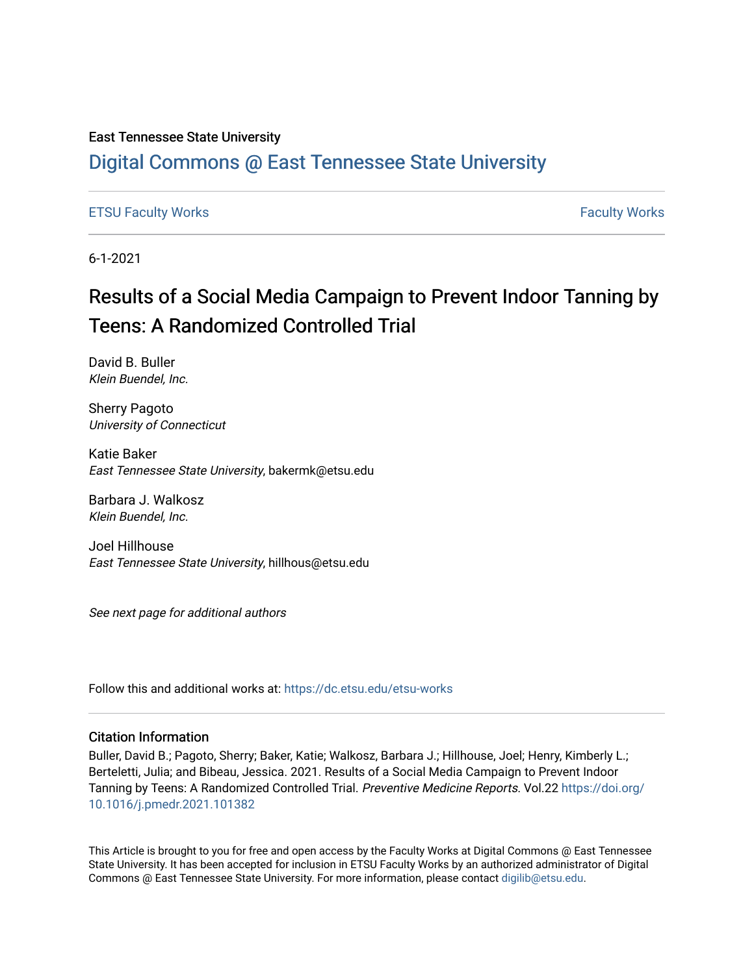### East Tennessee State University

# [Digital Commons @ East Tennessee State University](https://dc.etsu.edu/)

### [ETSU Faculty Works](https://dc.etsu.edu/etsu-works) [Faculty Works](https://dc.etsu.edu/faculty-works)

6-1-2021

# Results of a Social Media Campaign to Prevent Indoor Tanning by Teens: A Randomized Controlled Trial

David B. Buller Klein Buendel, Inc.

Sherry Pagoto University of Connecticut

Katie Baker East Tennessee State University, bakermk@etsu.edu

Barbara J. Walkosz Klein Buendel, Inc.

Joel Hillhouse East Tennessee State University, hillhous@etsu.edu

See next page for additional authors

Follow this and additional works at: [https://dc.etsu.edu/etsu-works](https://dc.etsu.edu/etsu-works?utm_source=dc.etsu.edu%2Fetsu-works%2F9558&utm_medium=PDF&utm_campaign=PDFCoverPages) 

### Citation Information

Buller, David B.; Pagoto, Sherry; Baker, Katie; Walkosz, Barbara J.; Hillhouse, Joel; Henry, Kimberly L.; Berteletti, Julia; and Bibeau, Jessica. 2021. Results of a Social Media Campaign to Prevent Indoor Tanning by Teens: A Randomized Controlled Trial. Preventive Medicine Reports. Vol.22 [https://doi.org/](https://doi.org/10.1016/j.pmedr.2021.101382) [10.1016/j.pmedr.2021.101382](https://doi.org/10.1016/j.pmedr.2021.101382) 

This Article is brought to you for free and open access by the Faculty Works at Digital Commons @ East Tennessee State University. It has been accepted for inclusion in ETSU Faculty Works by an authorized administrator of Digital Commons @ East Tennessee State University. For more information, please contact [digilib@etsu.edu.](mailto:digilib@etsu.edu)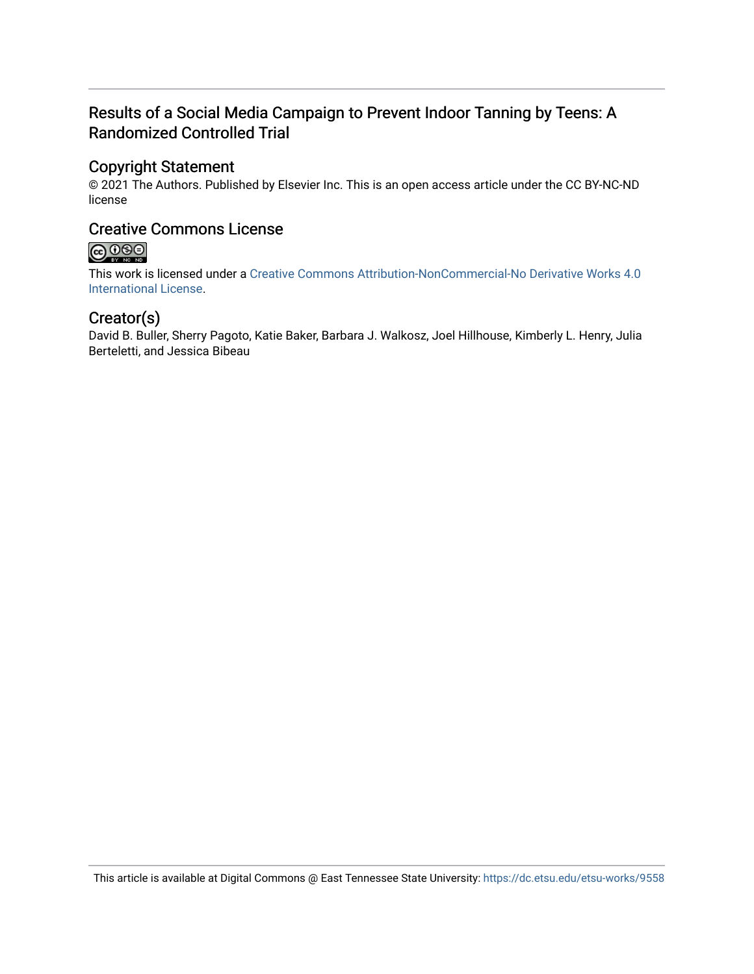# Results of a Social Media Campaign to Prevent Indoor Tanning by Teens: A Randomized Controlled Trial

### Copyright Statement

© 2021 The Authors. Published by Elsevier Inc. This is an open access article under the CC BY-NC-ND license

## Creative Commons License

# $\bigcirc$  000

This work is licensed under a [Creative Commons Attribution-NonCommercial-No Derivative Works 4.0](https://creativecommons.org/licenses/by-nc-nd/4.0/)  [International License.](https://creativecommons.org/licenses/by-nc-nd/4.0/)

## Creator(s)

David B. Buller, Sherry Pagoto, Katie Baker, Barbara J. Walkosz, Joel Hillhouse, Kimberly L. Henry, Julia Berteletti, and Jessica Bibeau

This article is available at Digital Commons @ East Tennessee State University: <https://dc.etsu.edu/etsu-works/9558>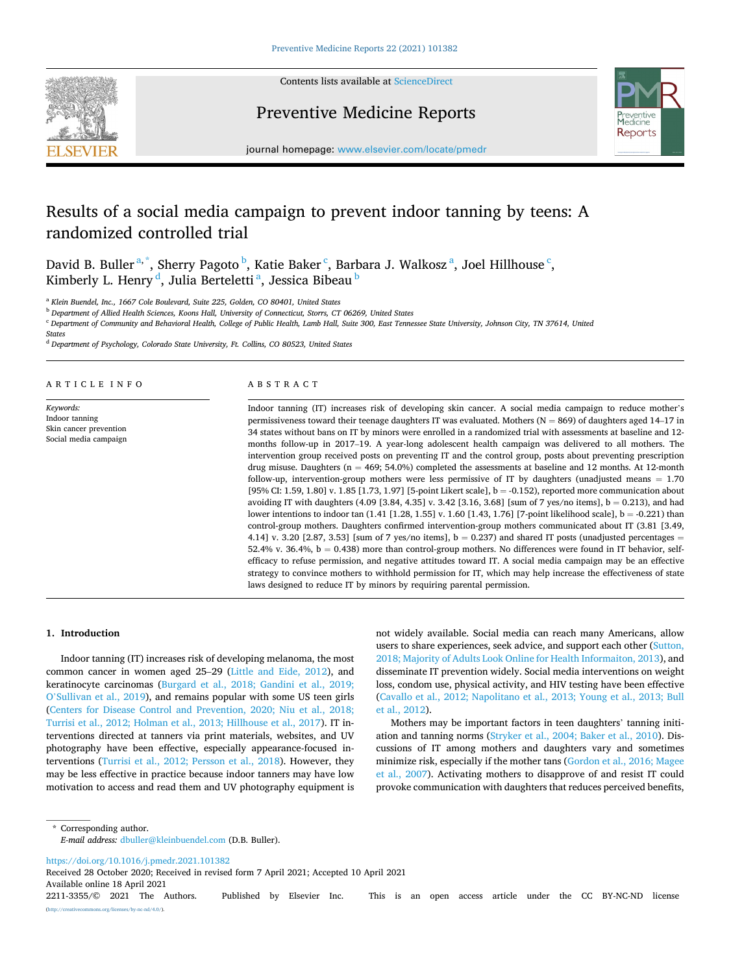

Contents lists available at [ScienceDirect](www.sciencedirect.com/science/journal/22113355)

### Preventive Medicine Reports



journal homepage: [www.elsevier.com/locate/pmedr](https://www.elsevier.com/locate/pmedr) 

## Results of a social media campaign to prevent indoor tanning by teens: A randomized controlled trial

David B. Buller<sup>a,\*</sup>, Sherry Pagoto <sup>b</sup>, Katie Baker <sup>c</sup>, Barbara J. Walkosz <sup>a</sup>, Joel Hillhouse <sup>c</sup>, Kimberly L. Henry <sup>d</sup>, Julia Berteletti <sup>a</sup>, Jessica Bibeau <sup>b</sup>

<sup>a</sup> *Klein Buendel, Inc., 1667 Cole Boulevard, Suite 225, Golden, CO 80401, United States* 

<sup>b</sup> *Department of Allied Health Sciences, Koons Hall, University of Connecticut, Storrs, CT 06269, United States* 

<sup>c</sup> *Department of Community and Behavioral Health, College of Public Health, Lamb Hall, Suite 300, East Tennessee State University, Johnson City, TN 37614, United* 

*States* 

<sup>d</sup> *Department of Psychology, Colorado State University, Ft. Collins, CO 80523, United States* 

#### ARTICLE INFO

*Keywords:*  Indoor tanning Skin cancer prevention Social media campaign

#### ABSTRACT

Indoor tanning (IT) increases risk of developing skin cancer. A social media campaign to reduce mother's permissiveness toward their teenage daughters IT was evaluated. Mothers  $(N = 869)$  of daughters aged 14–17 in 34 states without bans on IT by minors were enrolled in a randomized trial with assessments at baseline and 12 months follow-up in 2017–19. A year-long adolescent health campaign was delivered to all mothers. The intervention group received posts on preventing IT and the control group, posts about preventing prescription drug misuse. Daughters ( $n = 469$ ; 54.0%) completed the assessments at baseline and 12 months. At 12-month follow-up, intervention-group mothers were less permissive of IT by daughters (unadjusted means = 1.70 [95% CI: 1.59, 1.80] v. 1.85 [1.73, 1.97] [5-point Likert scale], b = -0.152), reported more communication about avoiding IT with daughters (4.09 [3.84, 4.35] v. 3.42 [3.16, 3.68] [sum of 7 yes/no items], b = 0.213), and had lower intentions to indoor tan  $(1.41 [1.28, 1.55] v. 1.60 [1.43, 1.76]$  [7-point likelihood scale], b = -0.221) than control-group mothers. Daughters confirmed intervention-group mothers communicated about IT (3.81 [3.49, 4.14] v. 3.20 [2.87, 3.53] [sum of 7 yes/no items],  $b = 0.237$  and shared IT posts (unadjusted percentages = 52.4% v. 36.4%,  $b = 0.438$ ) more than control-group mothers. No differences were found in IT behavior, selfefficacy to refuse permission, and negative attitudes toward IT. A social media campaign may be an effective strategy to convince mothers to withhold permission for IT, which may help increase the effectiveness of state laws designed to reduce IT by minors by requiring parental permission.

#### **1. Introduction**

Indoor tanning (IT) increases risk of developing melanoma, the most common cancer in women aged 25–29 [\(Little and Eide, 2012\)](#page-10-0), and keratinocyte carcinomas ([Burgard et al., 2018; Gandini et al., 2019;](#page-9-0)  O'[Sullivan et al., 2019\)](#page-9-0), and remains popular with some US teen girls ([Centers for Disease Control and Prevention, 2020; Niu et al., 2018;](#page-9-0)  [Turrisi et al., 2012; Holman et al., 2013; Hillhouse et al., 2017](#page-9-0)). IT interventions directed at tanners via print materials, websites, and UV photography have been effective, especially appearance-focused interventions [\(Turrisi et al., 2012; Persson et al., 2018](#page-10-0)). However, they may be less effective in practice because indoor tanners may have low motivation to access and read them and UV photography equipment is not widely available. Social media can reach many Americans, allow users to share experiences, seek advice, and support each other [\(Sutton,](#page-10-0)  [2018; Majority of Adults Look Online for Health Informaiton, 2013\)](#page-10-0), and disseminate IT prevention widely. Social media interventions on weight loss, condom use, physical activity, and HIV testing have been effective ([Cavallo et al., 2012; Napolitano et al., 2013; Young et al., 2013; Bull](#page-9-0)  [et al., 2012\)](#page-9-0).

Mothers may be important factors in teen daughters' tanning initiation and tanning norms ([Stryker et al., 2004; Baker et al., 2010](#page-10-0)). Discussions of IT among mothers and daughters vary and sometimes minimize risk, especially if the mother tans ([Gordon et al., 2016; Magee](#page-10-0)  [et al., 2007](#page-10-0)). Activating mothers to disapprove of and resist IT could provoke communication with daughters that reduces perceived benefits,

\* Corresponding author. *E-mail address:* [dbuller@kleinbuendel.com](mailto:dbuller@kleinbuendel.com) (D.B. Buller).

<https://doi.org/10.1016/j.pmedr.2021.101382>

Available online 18 April 2021 Received 28 October 2020; Received in revised form 7 April 2021; Accepted 10 April 2021

2211-3355/© 2021 The Authors. Published by Elsevier Inc. This is an open access article under the CC BY-NC-ND license [\(http://creativecommons.org/licenses/by-nc-nd/4.0/\)](http://creativecommons.org/licenses/by-nc-nd/4.0/).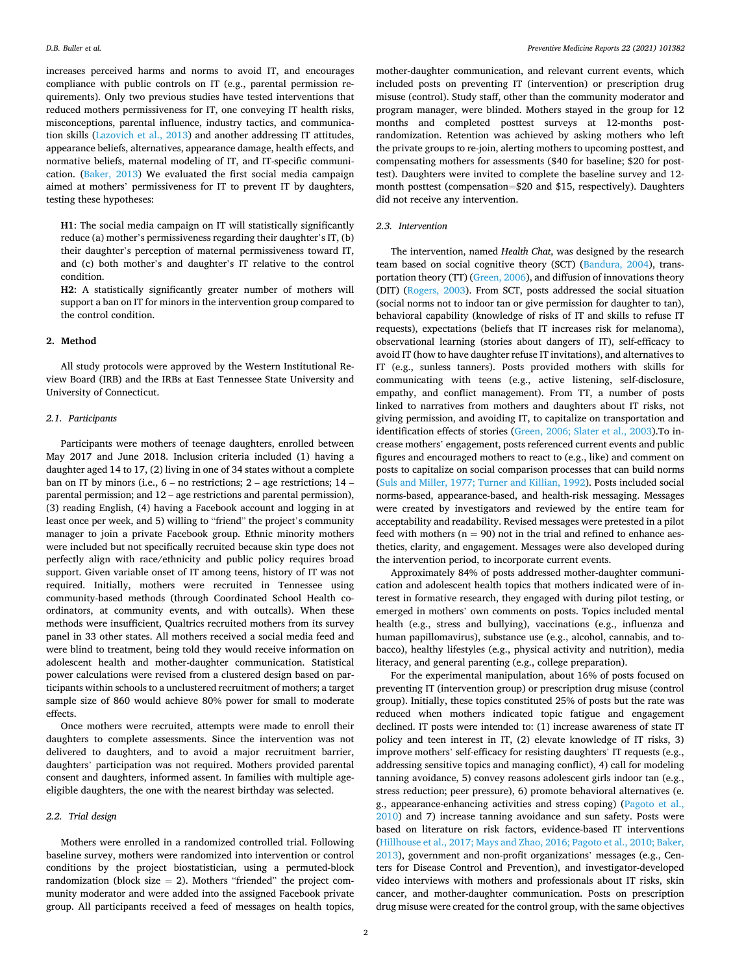increases perceived harms and norms to avoid IT, and encourages compliance with public controls on IT (e.g., parental permission requirements). Only two previous studies have tested interventions that reduced mothers permissiveness for IT, one conveying IT health risks, misconceptions, parental influence, industry tactics, and communication skills [\(Lazovich et al., 2013](#page-10-0)) and another addressing IT attitudes, appearance beliefs, alternatives, appearance damage, health effects, and normative beliefs, maternal modeling of IT, and IT-specific communication. [\(Baker, 2013](#page-9-0)) We evaluated the first social media campaign aimed at mothers' permissiveness for IT to prevent IT by daughters, testing these hypotheses:

**H1**: The social media campaign on IT will statistically significantly reduce (a) mother's permissiveness regarding their daughter's IT, (b) their daughter's perception of maternal permissiveness toward IT, and (c) both mother's and daughter's IT relative to the control condition.

**H2**: A statistically significantly greater number of mothers will support a ban on IT for minors in the intervention group compared to the control condition.

#### **2. Method**

All study protocols were approved by the Western Institutional Review Board (IRB) and the IRBs at East Tennessee State University and University of Connecticut.

#### *2.1. Participants*

Participants were mothers of teenage daughters, enrolled between May 2017 and June 2018. Inclusion criteria included (1) having a daughter aged 14 to 17, (2) living in one of 34 states without a complete ban on IT by minors (i.e.,  $6 -$  no restrictions;  $2 -$  age restrictions;  $14$ parental permission; and 12 – age restrictions and parental permission), (3) reading English, (4) having a Facebook account and logging in at least once per week, and 5) willing to "friend" the project's community manager to join a private Facebook group. Ethnic minority mothers were included but not specifically recruited because skin type does not perfectly align with race/ethnicity and public policy requires broad support. Given variable onset of IT among teens, history of IT was not required. Initially, mothers were recruited in Tennessee using community-based methods (through Coordinated School Health coordinators, at community events, and with outcalls). When these methods were insufficient, Qualtrics recruited mothers from its survey panel in 33 other states. All mothers received a social media feed and were blind to treatment, being told they would receive information on adolescent health and mother-daughter communication. Statistical power calculations were revised from a clustered design based on participants within schools to a unclustered recruitment of mothers; a target sample size of 860 would achieve 80% power for small to moderate effects.

Once mothers were recruited, attempts were made to enroll their daughters to complete assessments. Since the intervention was not delivered to daughters, and to avoid a major recruitment barrier, daughters' participation was not required. Mothers provided parental consent and daughters, informed assent. In families with multiple ageeligible daughters, the one with the nearest birthday was selected.

#### *2.2. Trial design*

Mothers were enrolled in a randomized controlled trial. Following baseline survey, mothers were randomized into intervention or control conditions by the project biostatistician, using a permuted-block randomization (block size  $= 2$ ). Mothers "friended" the project community moderator and were added into the assigned Facebook private group. All participants received a feed of messages on health topics,

mother-daughter communication, and relevant current events, which included posts on preventing IT (intervention) or prescription drug misuse (control). Study staff, other than the community moderator and program manager, were blinded. Mothers stayed in the group for 12 months and completed posttest surveys at 12-months postrandomization. Retention was achieved by asking mothers who left the private groups to re-join, alerting mothers to upcoming posttest, and compensating mothers for assessments (\$40 for baseline; \$20 for posttest). Daughters were invited to complete the baseline survey and 12 month posttest (compensation=\$20 and \$15, respectively). Daughters did not receive any intervention.

#### *2.3. Intervention*

The intervention, named *Health Chat*, was designed by the research team based on social cognitive theory (SCT) ([Bandura, 2004\)](#page-9-0), transportation theory (TT) ([Green, 2006\)](#page-10-0), and diffusion of innovations theory (DIT) ([Rogers, 2003](#page-10-0)). From SCT, posts addressed the social situation (social norms not to indoor tan or give permission for daughter to tan), behavioral capability (knowledge of risks of IT and skills to refuse IT requests), expectations (beliefs that IT increases risk for melanoma), observational learning (stories about dangers of IT), self-efficacy to avoid IT (how to have daughter refuse IT invitations), and alternatives to IT (e.g., sunless tanners). Posts provided mothers with skills for communicating with teens (e.g., active listening, self-disclosure, empathy, and conflict management). From TT, a number of posts linked to narratives from mothers and daughters about IT risks, not giving permission, and avoiding IT, to capitalize on transportation and identification effects of stories [\(Green, 2006; Slater et al., 2003](#page-10-0)).To increase mothers' engagement, posts referenced current events and public figures and encouraged mothers to react to (e.g., like) and comment on posts to capitalize on social comparison processes that can build norms ([Suls and Miller, 1977; Turner and Killian, 1992](#page-10-0)). Posts included social norms-based, appearance-based, and health-risk messaging. Messages were created by investigators and reviewed by the entire team for acceptability and readability. Revised messages were pretested in a pilot feed with mothers ( $n = 90$ ) not in the trial and refined to enhance aesthetics, clarity, and engagement. Messages were also developed during the intervention period, to incorporate current events.

Approximately 84% of posts addressed mother-daughter communication and adolescent health topics that mothers indicated were of interest in formative research, they engaged with during pilot testing, or emerged in mothers' own comments on posts. Topics included mental health (e.g., stress and bullying), vaccinations (e.g., influenza and human papillomavirus), substance use (e.g., alcohol, cannabis, and tobacco), healthy lifestyles (e.g., physical activity and nutrition), media literacy, and general parenting (e.g., college preparation).

For the experimental manipulation, about 16% of posts focused on preventing IT (intervention group) or prescription drug misuse (control group). Initially, these topics constituted 25% of posts but the rate was reduced when mothers indicated topic fatigue and engagement declined. IT posts were intended to: (1) increase awareness of state IT policy and teen interest in IT, (2) elevate knowledge of IT risks, 3) improve mothers' self-efficacy for resisting daughters' IT requests (e.g., addressing sensitive topics and managing conflict), 4) call for modeling tanning avoidance, 5) convey reasons adolescent girls indoor tan (e.g., stress reduction; peer pressure), 6) promote behavioral alternatives (e. g., appearance-enhancing activities and stress coping) ([Pagoto et al.,](#page-10-0)  [2010\)](#page-10-0) and 7) increase tanning avoidance and sun safety. Posts were based on literature on risk factors, evidence-based IT interventions ([Hillhouse et al., 2017; Mays and Zhao, 2016; Pagoto et al., 2010; Baker,](#page-10-0)  [2013\)](#page-10-0), government and non-profit organizations' messages (e.g., Centers for Disease Control and Prevention), and investigator-developed video interviews with mothers and professionals about IT risks, skin cancer, and mother-daughter communication. Posts on prescription drug misuse were created for the control group, with the same objectives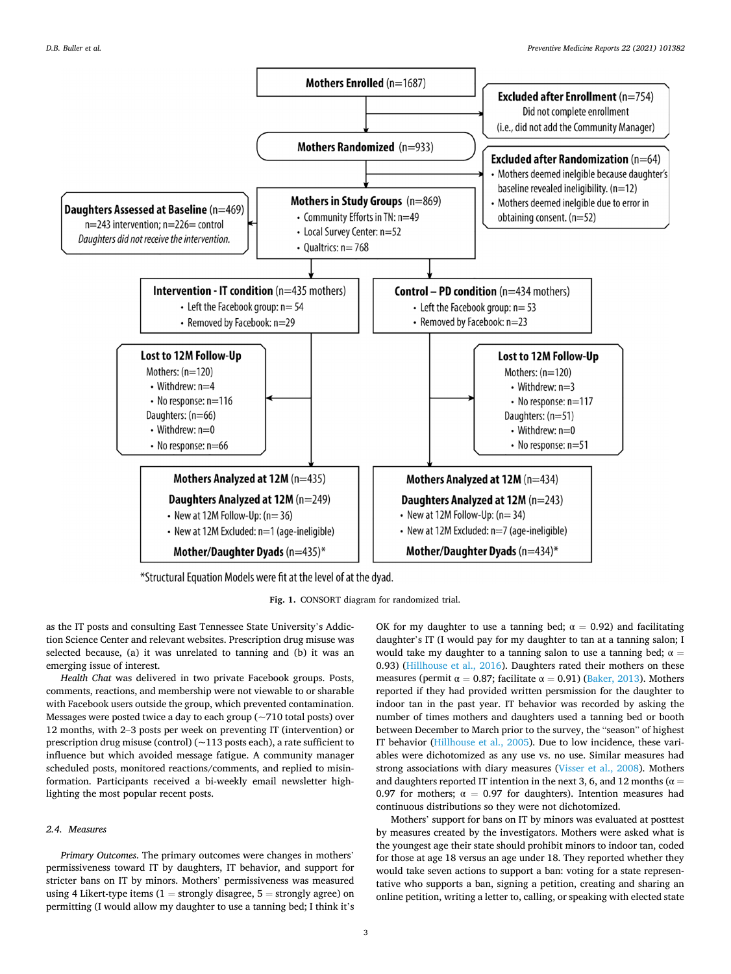<span id="page-4-0"></span>

\*Structural Equation Models were fit at the level of at the dyad.

**Fig. 1.** CONSORT diagram for randomized trial.

as the IT posts and consulting East Tennessee State University's Addiction Science Center and relevant websites. Prescription drug misuse was selected because, (a) it was unrelated to tanning and (b) it was an emerging issue of interest.

*Health Chat* was delivered in two private Facebook groups. Posts, comments, reactions, and membership were not viewable to or sharable with Facebook users outside the group, which prevented contamination. Messages were posted twice a day to each group (~710 total posts) over 12 months, with 2–3 posts per week on preventing IT (intervention) or prescription drug misuse (control) ( $\sim$ 113 posts each), a rate sufficient to influence but which avoided message fatigue. A community manager scheduled posts, monitored reactions/comments, and replied to misinformation. Participants received a bi-weekly email newsletter highlighting the most popular recent posts.

#### *2.4. Measures*

*Primary Outcomes*. The primary outcomes were changes in mothers' permissiveness toward IT by daughters, IT behavior, and support for stricter bans on IT by minors. Mothers' permissiveness was measured using 4 Likert-type items  $(1 =$  strongly disagree,  $5 =$  strongly agree) on permitting (I would allow my daughter to use a tanning bed; I think it's OK for my daughter to use a tanning bed;  $\alpha = 0.92$ ) and facilitating daughter's IT (I would pay for my daughter to tan at a tanning salon; I would take my daughter to a tanning salon to use a tanning bed;  $\alpha =$ 0.93) [\(Hillhouse et al., 2016\)](#page-10-0). Daughters rated their mothers on these measures (permit  $\alpha = 0.87$ ; facilitate  $\alpha = 0.91$ ) ([Baker, 2013](#page-9-0)). Mothers reported if they had provided written persmission for the daughter to indoor tan in the past year. IT behavior was recorded by asking the number of times mothers and daughters used a tanning bed or booth between December to March prior to the survey, the "season" of highest IT behavior ([Hillhouse et al., 2005](#page-10-0)). Due to low incidence, these variables were dichotomized as any use vs. no use. Similar measures had strong associations with diary measures [\(Visser et al., 2008\)](#page-10-0). Mothers and daughters reported IT intention in the next 3, 6, and 12 months ( $\alpha$  = 0.97 for mothers;  $\alpha = 0.97$  for daughters). Intention measures had continuous distributions so they were not dichotomized.

Mothers' support for bans on IT by minors was evaluated at posttest by measures created by the investigators. Mothers were asked what is the youngest age their state should prohibit minors to indoor tan, coded for those at age 18 versus an age under 18. They reported whether they would take seven actions to support a ban: voting for a state representative who supports a ban, signing a petition, creating and sharing an online petition, writing a letter to, calling, or speaking with elected state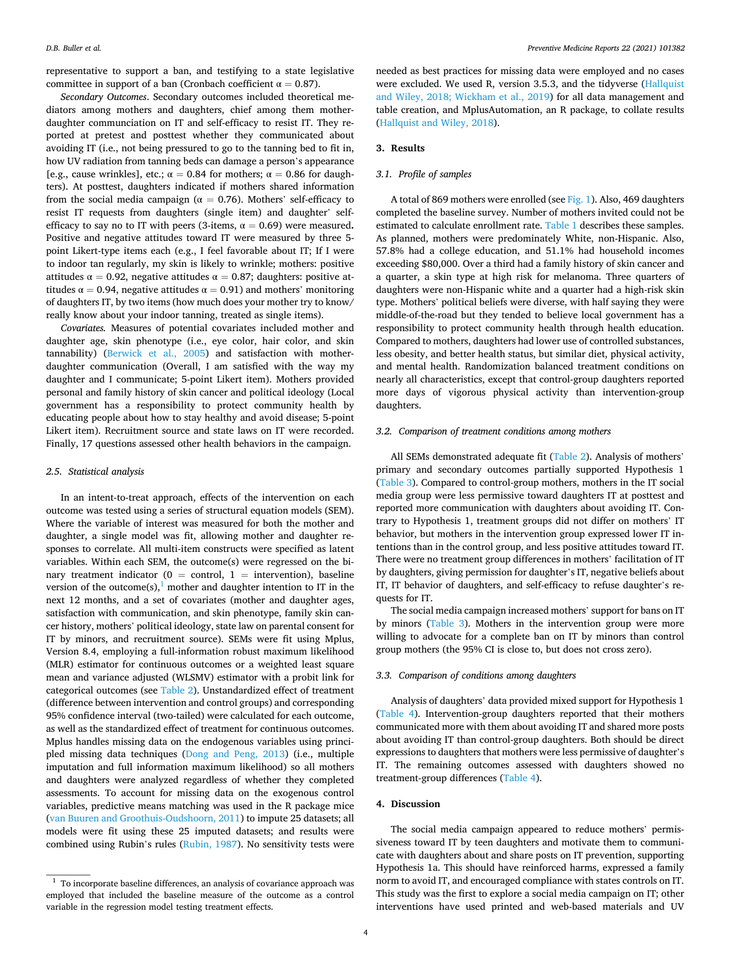representative to support a ban, and testifying to a state legislative committee in support of a ban (Cronbach coefficient  $\alpha = 0.87$ ).

*Secondary Outcomes*. Secondary outcomes included theoretical mediators among mothers and daughters, chief among them motherdaughter communciation on IT and self-efficacy to resist IT. They reported at pretest and posttest whether they communicated about avoiding IT (i.e., not being pressured to go to the tanning bed to fit in, how UV radiation from tanning beds can damage a person's appearance [e.g., cause wrinkles], etc.;  $\alpha = 0.84$  for mothers;  $\alpha = 0.86$  for daughters). At posttest, daughters indicated if mothers shared information from the social media campaign ( $\alpha = 0.76$ ). Mothers' self-efficacy to resist IT requests from daughters (single item) and daughter' selfefficacy to say no to IT with peers (3-items,  $\alpha = 0.69$ ) were measured. Positive and negative attitudes toward IT were measured by three 5 point Likert-type items each (e.g., I feel favorable about IT; If I were to indoor tan regularly, my skin is likely to wrinkle; mothers: positive attitudes  $\alpha = 0.92$ , negative attitudes  $\alpha = 0.87$ ; daughters: positive attitudes  $\alpha = 0.94$ , negative attitudes  $\alpha = 0.91$ ) and mothers' monitoring of daughters IT, by two items (how much does your mother try to know/ really know about your indoor tanning, treated as single items).

*Covariates.* Measures of potential covariates included mother and daughter age, skin phenotype (i.e., eye color, hair color, and skin tannability) [\(Berwick et al., 2005](#page-9-0)) and satisfaction with motherdaughter communication (Overall, I am satisfied with the way my daughter and I communicate; 5-point Likert item). Mothers provided personal and family history of skin cancer and political ideology (Local government has a responsibility to protect community health by educating people about how to stay healthy and avoid disease; 5-point Likert item). Recruitment source and state laws on IT were recorded. Finally, 17 questions assessed other health behaviors in the campaign.

#### *2.5. Statistical analysis*

In an intent-to-treat approach, effects of the intervention on each outcome was tested using a series of structural equation models (SEM). Where the variable of interest was measured for both the mother and daughter, a single model was fit, allowing mother and daughter responses to correlate. All multi-item constructs were specified as latent variables. Within each SEM, the outcome(s) were regressed on the binary treatment indicator ( $0 =$  control,  $1 =$  intervention), baseline version of the outcome(s),<sup>1</sup> mother and daughter intention to IT in the next 12 months, and a set of covariates (mother and daughter ages, satisfaction with communication, and skin phenotype, family skin cancer history, mothers' political ideology, state law on parental consent for IT by minors, and recruitment source). SEMs were fit using Mplus, Version 8.4, employing a full-information robust maximum likelihood (MLR) estimator for continuous outcomes or a weighted least square mean and variance adjusted (WLSMV) estimator with a probit link for categorical outcomes (see [Table 2](#page-7-0)). Unstandardized effect of treatment (difference between intervention and control groups) and corresponding 95% confidence interval (two-tailed) were calculated for each outcome, as well as the standardized effect of treatment for continuous outcomes. Mplus handles missing data on the endogenous variables using principled missing data techniques [\(Dong and Peng, 2013](#page-9-0)) (i.e., multiple imputation and full information maximum likelihood) so all mothers and daughters were analyzed regardless of whether they completed assessments. To account for missing data on the exogenous control variables, predictive means matching was used in the R package mice ([van Buuren and Groothuis-Oudshoorn, 2011\)](#page-10-0) to impute 25 datasets; all models were fit using these 25 imputed datasets; and results were combined using Rubin's rules [\(Rubin, 1987](#page-10-0)). No sensitivity tests were

needed as best practices for missing data were employed and no cases were excluded. We used R, version 3.5.3, and the tidyverse ([Hallquist](#page-10-0)  [and Wiley, 2018; Wickham et al., 2019\)](#page-10-0) for all data management and table creation, and MplusAutomation, an R package, to collate results ([Hallquist and Wiley, 2018](#page-10-0)).

#### **3. Results**

#### *3.1. Profile of samples*

A total of 869 mothers were enrolled (see [Fig. 1\)](#page-4-0). Also, 469 daughters completed the baseline survey. Number of mothers invited could not be estimated to calculate enrollment rate. [Table 1](#page-6-0) describes these samples. As planned, mothers were predominately White, non-Hispanic. Also, 57.8% had a college education, and 51.1% had household incomes exceeding \$80,000. Over a third had a family history of skin cancer and a quarter, a skin type at high risk for melanoma. Three quarters of daughters were non-Hispanic white and a quarter had a high-risk skin type. Mothers' political beliefs were diverse, with half saying they were middle-of-the-road but they tended to believe local government has a responsibility to protect community health through health education. Compared to mothers, daughters had lower use of controlled substances, less obesity, and better health status, but similar diet, physical activity, and mental health. Randomization balanced treatment conditions on nearly all characteristics, except that control-group daughters reported more days of vigorous physical activity than intervention-group daughters.

#### *3.2. Comparison of treatment conditions among mothers*

All SEMs demonstrated adequate fit ([Table 2\)](#page-7-0). Analysis of mothers' primary and secondary outcomes partially supported Hypothesis 1 ([Table 3\)](#page-8-0). Compared to control-group mothers, mothers in the IT social media group were less permissive toward daughters IT at posttest and reported more communication with daughters about avoiding IT. Contrary to Hypothesis 1, treatment groups did not differ on mothers' IT behavior, but mothers in the intervention group expressed lower IT intentions than in the control group, and less positive attitudes toward IT. There were no treatment group differences in mothers' facilitation of IT by daughters, giving permission for daughter's IT, negative beliefs about IT, IT behavior of daughters, and self-efficacy to refuse daughter's requests for IT.

The social media campaign increased mothers' support for bans on IT by minors ([Table 3](#page-8-0)). Mothers in the intervention group were more willing to advocate for a complete ban on IT by minors than control group mothers (the 95% CI is close to, but does not cross zero).

#### *3.3. Comparison of conditions among daughters*

Analysis of daughters' data provided mixed support for Hypothesis 1 ([Table 4\)](#page-9-0). Intervention-group daughters reported that their mothers communicated more with them about avoiding IT and shared more posts about avoiding IT than control-group daughters. Both should be direct expressions to daughters that mothers were less permissive of daughter's IT. The remaining outcomes assessed with daughters showed no treatment-group differences [\(Table 4\)](#page-9-0).

#### **4. Discussion**

The social media campaign appeared to reduce mothers' permissiveness toward IT by teen daughters and motivate them to communicate with daughters about and share posts on IT prevention, supporting Hypothesis 1a. This should have reinforced harms, expressed a family norm to avoid IT, and encouraged compliance with states controls on IT. This study was the first to explore a social media campaign on IT; other interventions have used printed and web-based materials and UV

 $^{\rm 1}$  To incorporate baseline differences, an analysis of covariance approach was employed that included the baseline measure of the outcome as a control variable in the regression model testing treatment effects.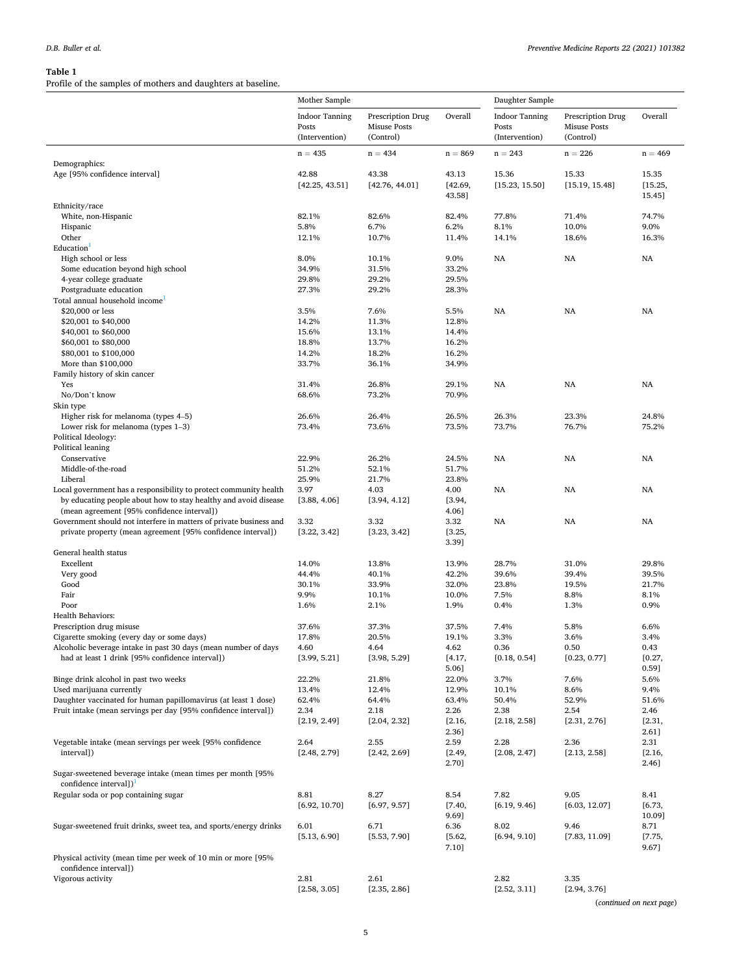#### <span id="page-6-0"></span>**Table 1**

Profile of the samples of mothers and daughters at baseline.

|                                                                                                               | Mother Sample                                    |                                                       |                   | Daughter Sample                                  |                                                       |                   |  |  |
|---------------------------------------------------------------------------------------------------------------|--------------------------------------------------|-------------------------------------------------------|-------------------|--------------------------------------------------|-------------------------------------------------------|-------------------|--|--|
|                                                                                                               | <b>Indoor Tanning</b><br>Posts<br>(Intervention) | Prescription Drug<br><b>Misuse Posts</b><br>(Control) | Overall           | <b>Indoor Tanning</b><br>Posts<br>(Intervention) | Prescription Drug<br><b>Misuse Posts</b><br>(Control) | Overall           |  |  |
|                                                                                                               | $n = 435$                                        | $n = 434$                                             | $n = 869$         | $n = 243$                                        | $n = 226$                                             | $n = 469$         |  |  |
| Demographics:                                                                                                 |                                                  |                                                       |                   |                                                  |                                                       |                   |  |  |
| Age [95% confidence interval]                                                                                 | 42.88                                            | 43.38                                                 | 43.13             | 15.36                                            | 15.33                                                 | 15.35             |  |  |
|                                                                                                               | [42.25, 43.51]                                   | [42.76, 44.01]                                        | [42.69,<br>43.58] | [15.23, 15.50]                                   | [15.19, 15.48]                                        | [15.25,<br>15.45] |  |  |
| Ethnicity/race<br>White, non-Hispanic                                                                         | 82.1%                                            | 82.6%                                                 | 82.4%             | 77.8%                                            | 71.4%                                                 | 74.7%             |  |  |
| Hispanic                                                                                                      | 5.8%                                             | 6.7%                                                  | 6.2%              | 8.1%                                             | 10.0%                                                 | 9.0%              |  |  |
| Other                                                                                                         | 12.1%                                            | 10.7%                                                 | 11.4%             | 14.1%                                            | 18.6%                                                 | 16.3%             |  |  |
| Education <sup>1</sup>                                                                                        |                                                  |                                                       |                   |                                                  |                                                       |                   |  |  |
| High school or less                                                                                           | 8.0%                                             | 10.1%                                                 | 9.0%              | NA                                               | NA                                                    | NA                |  |  |
| Some education beyond high school                                                                             | 34.9%                                            | 31.5%                                                 | 33.2%             |                                                  |                                                       |                   |  |  |
| 4-year college graduate                                                                                       | 29.8%                                            | 29.2%                                                 | 29.5%             |                                                  |                                                       |                   |  |  |
| Postgraduate education<br>Total annual household income                                                       | 27.3%                                            | 29.2%                                                 | 28.3%             |                                                  |                                                       |                   |  |  |
| \$20,000 or less                                                                                              | 3.5%                                             | 7.6%                                                  | 5.5%              | NA                                               | NA                                                    | NA                |  |  |
| \$20,001 to \$40,000                                                                                          | 14.2%                                            | 11.3%                                                 | 12.8%             |                                                  |                                                       |                   |  |  |
| \$40,001 to \$60,000                                                                                          | 15.6%                                            | 13.1%                                                 | 14.4%             |                                                  |                                                       |                   |  |  |
| \$60,001 to \$80,000                                                                                          | 18.8%                                            | 13.7%                                                 | 16.2%             |                                                  |                                                       |                   |  |  |
| \$80,001 to \$100,000                                                                                         | 14.2%                                            | 18.2%                                                 | 16.2%             |                                                  |                                                       |                   |  |  |
| More than \$100,000                                                                                           | 33.7%                                            | 36.1%                                                 | 34.9%             |                                                  |                                                       |                   |  |  |
| Family history of skin cancer                                                                                 |                                                  |                                                       |                   |                                                  |                                                       |                   |  |  |
| Yes<br>No/Don't know                                                                                          | 31.4%<br>68.6%                                   | 26.8%<br>73.2%                                        | 29.1%<br>70.9%    | NA                                               | NA                                                    | NA                |  |  |
| Skin type                                                                                                     |                                                  |                                                       |                   |                                                  |                                                       |                   |  |  |
| Higher risk for melanoma (types 4–5)                                                                          | 26.6%                                            | 26.4%                                                 | 26.5%             | 26.3%                                            | 23.3%                                                 | 24.8%             |  |  |
| Lower risk for melanoma (types $1-3$ )                                                                        | 73.4%                                            | 73.6%                                                 | 73.5%             | 73.7%                                            | 76.7%                                                 | 75.2%             |  |  |
| Political Ideology:                                                                                           |                                                  |                                                       |                   |                                                  |                                                       |                   |  |  |
| Political leaning                                                                                             |                                                  |                                                       |                   |                                                  |                                                       |                   |  |  |
| Conservative                                                                                                  | 22.9%                                            | 26.2%                                                 | 24.5%             | NA                                               | NA                                                    | NA                |  |  |
| Middle-of-the-road                                                                                            | 51.2%                                            | 52.1%                                                 | 51.7%             |                                                  |                                                       |                   |  |  |
| Liberal<br>Local government has a responsibility to protect community health                                  | 25.9%<br>3.97                                    | 21.7%<br>4.03                                         | 23.8%<br>4.00     | <b>NA</b>                                        | NA                                                    | <b>NA</b>         |  |  |
| by educating people about how to stay healthy and avoid disease<br>(mean agreement [95% confidence interval]) | [3.88, 4.06]                                     | [3.94, 4.12]                                          | [3.94,<br>4.06]   |                                                  |                                                       |                   |  |  |
| Government should not interfere in matters of private business and                                            | 3.32                                             | 3.32                                                  | 3.32              | NA                                               | NA                                                    | <b>NA</b>         |  |  |
| private property (mean agreement [95% confidence interval])                                                   | [3.22, 3.42]                                     | [3.23, 3.42]                                          | [3.25,<br>3.39]   |                                                  |                                                       |                   |  |  |
| General health status                                                                                         |                                                  |                                                       |                   |                                                  |                                                       |                   |  |  |
| Excellent                                                                                                     | 14.0%                                            | 13.8%                                                 | 13.9%             | 28.7%                                            | 31.0%                                                 | 29.8%             |  |  |
| Very good                                                                                                     | 44.4%                                            | 40.1%                                                 | 42.2%             | 39.6%                                            | 39.4%                                                 | 39.5%             |  |  |
| Good                                                                                                          | 30.1%                                            | 33.9%                                                 | 32.0%             | 23.8%                                            | 19.5%                                                 | 21.7%             |  |  |
| Fair<br>Poor                                                                                                  | 9.9%<br>1.6%                                     | 10.1%<br>2.1%                                         | 10.0%<br>1.9%     | 7.5%<br>0.4%                                     | 8.8%<br>1.3%                                          | 8.1%<br>0.9%      |  |  |
| <b>Health Behaviors:</b>                                                                                      |                                                  |                                                       |                   |                                                  |                                                       |                   |  |  |
| Prescription drug misuse                                                                                      | 37.6%                                            | 37.3%                                                 | 37.5%             | 7.4%                                             | 5.8%                                                  | 6.6%              |  |  |
| Cigarette smoking (every day or some days)                                                                    | 17.8%                                            | 20.5%                                                 | 19.1%             | 3.3%                                             | 3.6%                                                  | 3.4%              |  |  |
| Alcoholic beverage intake in past 30 days (mean number of days                                                | 4.60                                             | 4.64                                                  | 4.62              | 0.36                                             | 0.50                                                  | 0.43              |  |  |
| had at least 1 drink [95% confidence interval])                                                               | [3.99, 5.21]                                     | [3.98, 5.29]                                          | [4.17,            | [0.18, 0.54]                                     | [0.23, 0.77]                                          | [0.27,            |  |  |
|                                                                                                               |                                                  |                                                       | 5.06]             |                                                  |                                                       | 0.59]             |  |  |
| Binge drink alcohol in past two weeks<br>Used marijuana currently                                             | 22.2%<br>13.4%                                   | 21.8%<br>12.4%                                        | 22.0%<br>12.9%    | 3.7%<br>10.1%                                    | 7.6%<br>8.6%                                          | 5.6%<br>9.4%      |  |  |
| Daughter vaccinated for human papillomavirus (at least 1 dose)                                                | 62.4%                                            | 64.4%                                                 | 63.4%             | 50.4%                                            | 52.9%                                                 | 51.6%             |  |  |
| Fruit intake (mean servings per day [95% confidence interval])                                                | 2.34                                             | 2.18                                                  | 2.26              | 2.38                                             | 2.54                                                  | 2.46              |  |  |
|                                                                                                               | [2.19, 2.49]                                     | [2.04, 2.32]                                          | [2.16,            | [2.18, 2.58]                                     | [2.31, 2.76]                                          | [2.31,            |  |  |
|                                                                                                               |                                                  |                                                       | 2.36]             |                                                  |                                                       | 2.61]             |  |  |
| Vegetable intake (mean servings per week [95% confidence                                                      | 2.64                                             | 2.55                                                  | 2.59              | 2.28                                             | 2.36                                                  | 2.31              |  |  |
| interval])                                                                                                    | [2.48, 2.79]                                     | [2.42, 2.69]                                          | [2.49,<br>2.70]   | [2.08, 2.47]                                     | [2.13, 2.58]                                          | [2.16,<br>2.46]   |  |  |
| Sugar-sweetened beverage intake (mean times per month [95%<br>confidence intervall) <sup>1</sup>              |                                                  |                                                       |                   |                                                  |                                                       |                   |  |  |
| Regular soda or pop containing sugar                                                                          | 8.81<br>[6.92, 10.70]                            | 8.27<br>[6.97, 9.57]                                  | 8.54<br>[7.40,    | 7.82<br>[6.19, 9.46]                             | 9.05<br>[6.03, 12.07]                                 | 8.41<br>[6.73,    |  |  |
| Sugar-sweetened fruit drinks, sweet tea, and sports/energy drinks                                             | 6.01                                             | 6.71                                                  | 9.69]<br>6.36     | 8.02                                             | 9.46                                                  | 10.09]<br>8.71    |  |  |
|                                                                                                               | [5.13, 6.90]                                     | [5.53, 7.90]                                          | [5.62,<br>7.10]   | [6.94, 9.10]                                     | [7.83, 11.09]                                         | [7.75,<br>9.67]   |  |  |
| Physical activity (mean time per week of 10 min or more [95%<br>confidence interval])                         |                                                  |                                                       |                   |                                                  |                                                       |                   |  |  |
| Vigorous activity                                                                                             | 2.81                                             | 2.61                                                  |                   | 2.82                                             | 3.35                                                  |                   |  |  |
|                                                                                                               | [2.58, 3.05]                                     | [2.35, 2.86]                                          |                   | [2.52, 3.11]                                     | [2.94, 3.76]                                          |                   |  |  |

(*continued on next page*)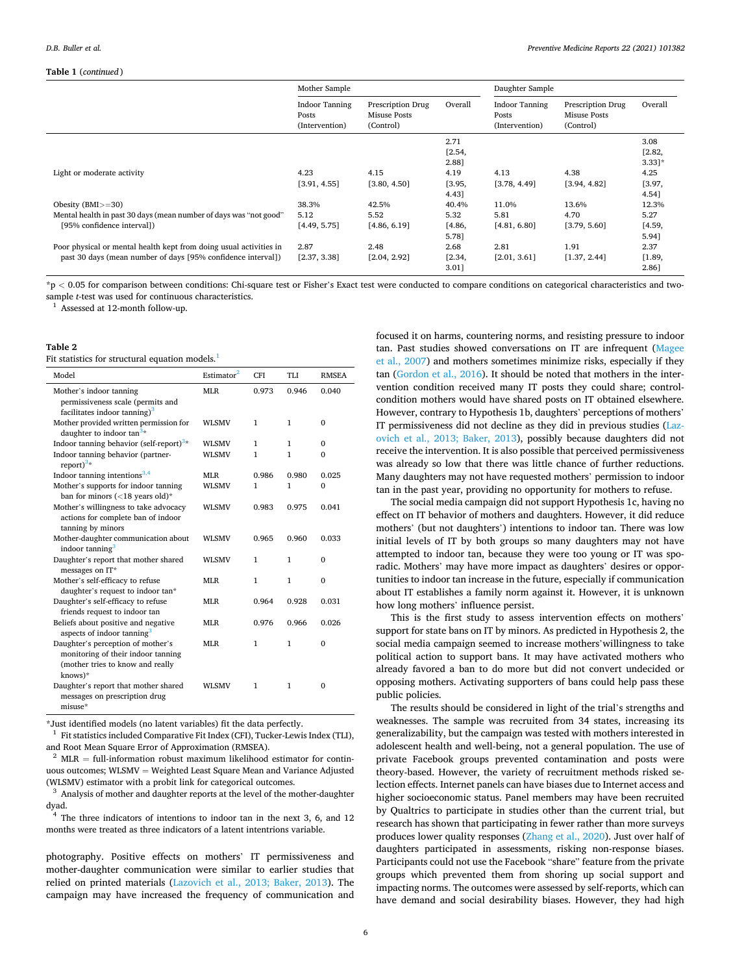#### <span id="page-7-0"></span>**Table 1** (*continued* )

|                                                                    | Mother Sample                                    |                                                |         | Daughter Sample                                  |                                                |          |  |  |  |
|--------------------------------------------------------------------|--------------------------------------------------|------------------------------------------------|---------|--------------------------------------------------|------------------------------------------------|----------|--|--|--|
|                                                                    | <b>Indoor Tanning</b><br>Posts<br>(Intervention) | Prescription Drug<br>Misuse Posts<br>(Control) | Overall | <b>Indoor Tanning</b><br>Posts<br>(Intervention) | Prescription Drug<br>Misuse Posts<br>(Control) | Overall  |  |  |  |
|                                                                    |                                                  |                                                | 2.71    |                                                  |                                                | 3.08     |  |  |  |
|                                                                    |                                                  |                                                | [2.54,  |                                                  |                                                | [2.82,   |  |  |  |
|                                                                    |                                                  |                                                | 2.881   |                                                  |                                                | $3.331*$ |  |  |  |
| Light or moderate activity                                         | 4.23                                             | 4.15                                           | 4.19    | 4.13                                             | 4.38                                           | 4.25     |  |  |  |
|                                                                    | [3.91, 4.55]                                     | [3.80, 4.50]                                   | [3.95,  | [3.78, 4.49]                                     | [3.94, 4.82]                                   | [3.97,   |  |  |  |
|                                                                    |                                                  |                                                | 4.43]   |                                                  |                                                | 4.541    |  |  |  |
| Obesity $(BMI>=30)$                                                | 38.3%                                            | 42.5%                                          | 40.4%   | 11.0%                                            | 13.6%                                          | 12.3%    |  |  |  |
| Mental health in past 30 days (mean number of days was "not good"  | 5.12                                             | 5.52                                           | 5.32    | 5.81                                             | 4.70                                           | 5.27     |  |  |  |
| [95% confidence interval])                                         | [4.49, 5.75]                                     | [4.86, 6.19]                                   | [4.86,  | [4.81, 6.80]                                     | [3.79, 5.60]                                   | [4.59,   |  |  |  |
|                                                                    |                                                  |                                                | 5.781   |                                                  |                                                | 5.941    |  |  |  |
| Poor physical or mental health kept from doing usual activities in | 2.87                                             | 2.48                                           | 2.68    | 2.81                                             | 1.91                                           | 2.37     |  |  |  |
| past 30 days (mean number of days [95% confidence interval])       | [2.37, 3.38]                                     | [2.04, 2.92]                                   | [2.34,  | [2.01, 3.61]                                     | [1.37, 2.44]                                   | [1.89,   |  |  |  |
|                                                                    |                                                  |                                                | 3.011   |                                                  |                                                | 2.861    |  |  |  |

\*p *<* 0.05 for comparison between conditions: Chi-square test or Fisher's Exact test were conducted to compare conditions on categorical characteristics and twosample *t*-test was used for continuous characteristics.<br><sup>1</sup> Assessed at 12-month follow-up.

#### **Table 2**

Fit statistics for structural equation models.<sup>1</sup>

| Model                                                                                                                    | Estimator <sup>2</sup> | <b>CFI</b> | TI J  | <b>RMSEA</b> |
|--------------------------------------------------------------------------------------------------------------------------|------------------------|------------|-------|--------------|
| Mother's indoor tanning<br>permissiveness scale (permits and<br>facilitates indoor tanning) $3$                          | <b>MLR</b>             | 0.973      | 0.946 | 0.040        |
| Mother provided written permission for<br>daughter to indoor $tan3$ *                                                    | <b>WLSMV</b>           | 1          | 1     | $\mathbf{0}$ |
| Indoor tanning behavior (self-report) <sup>3*</sup>                                                                      | <b>WLSMV</b>           | 1          | 1     | $\mathbf{0}$ |
| Indoor tanning behavior (partner-<br>report) $3*$                                                                        | <b>WLSMV</b>           | 1          | 1     | $\Omega$     |
| Indoor tanning intentions $3,4$                                                                                          | <b>MLR</b>             | 0.986      | 0.980 | 0.025        |
| Mother's supports for indoor tanning<br>ban for minors $(<18$ years old)*                                                | <b>WLSMV</b>           | 1          | 1     | $\theta$     |
| Mother's willingness to take advocacy<br>actions for complete ban of indoor<br>tanning by minors                         | <b>WLSMV</b>           | 0.983      | 0.975 | 0.041        |
| Mother-daughter communication about<br>indoor tanning <sup>3</sup>                                                       | <b>WLSMV</b>           | 0.965      | 0.960 | 0.033        |
| Daughter's report that mother shared<br>messages on IT*                                                                  | <b>WLSMV</b>           | 1          | 1     | $\theta$     |
| Mother's self-efficacy to refuse<br>daughter's request to indoor tan*                                                    | ML <sub>R</sub>        | 1          | 1     | $\theta$     |
| Daughter's self-efficacy to refuse<br>friends request to indoor tan                                                      | ML <sub>R</sub>        | 0.964      | 0.928 | 0.031        |
| Beliefs about positive and negative<br>aspects of indoor tanning <sup>3</sup>                                            | <b>MLR</b>             | 0.976      | 0.966 | 0.026        |
| Daughter's perception of mother's<br>monitoring of their indoor tanning<br>(mother tries to know and really<br>$knows)*$ | ML <sub>R</sub>        | 1          | 1     | $\theta$     |
| Daughter's report that mother shared<br>messages on prescription drug<br>$misuse*$                                       | <b>WLSMV</b>           | 1          | 1     | $\Omega$     |

 $^\ast$  Just identified models (no latent variables) fit the data perfectly.  $^1$  Fit statistics included Comparative Fit Index (CFI), Tucker-Lewis Index (TLI),

and Root Mean Square Error of Approximation (RMSEA).  $^{\rm 2}$  MLR  $=$  full-information robust maximum likelihood estimator for continuous outcomes; WLSMV = Weighted Least Square Mean and Variance Adjusted

(WLSMV) estimator with a probit link for categorical outcomes.  $^3\,$  Analysis of mother and daughter reports at the level of the mother-daughter dyad.

 $^{4}$  The three indicators of intentions to indoor tan in the next 3, 6, and 12 months were treated as three indicators of a latent intentrions variable.

photography. Positive effects on mothers' IT permissiveness and mother-daughter communication were similar to earlier studies that relied on printed materials [\(Lazovich et al., 2013; Baker, 2013\)](#page-10-0). The campaign may have increased the frequency of communication and

focused it on harms, countering norms, and resisting pressure to indoor tan. Past studies showed conversations on IT are infrequent ([Magee](#page-10-0)  [et al., 2007\)](#page-10-0) and mothers sometimes minimize risks, especially if they tan [\(Gordon et al., 2016\)](#page-10-0). It should be noted that mothers in the intervention condition received many IT posts they could share; controlcondition mothers would have shared posts on IT obtained elsewhere. However, contrary to Hypothesis 1b, daughters' perceptions of mothers' IT permissiveness did not decline as they did in previous studies [\(Laz](#page-10-0)[ovich et al., 2013; Baker, 2013](#page-10-0)), possibly because daughters did not receive the intervention. It is also possible that perceived permissiveness was already so low that there was little chance of further reductions. Many daughters may not have requested mothers' permission to indoor tan in the past year, providing no opportunity for mothers to refuse.

The social media campaign did not support Hypothesis 1c, having no effect on IT behavior of mothers and daughters. However, it did reduce mothers' (but not daughters') intentions to indoor tan. There was low initial levels of IT by both groups so many daughters may not have attempted to indoor tan, because they were too young or IT was sporadic. Mothers' may have more impact as daughters' desires or opportunities to indoor tan increase in the future, especially if communication about IT establishes a family norm against it. However, it is unknown how long mothers' influence persist.

This is the first study to assess intervention effects on mothers' support for state bans on IT by minors. As predicted in Hypothesis 2, the social media campaign seemed to increase mothers'willingness to take political action to support bans. It may have activated mothers who already favored a ban to do more but did not convert undecided or opposing mothers. Activating supporters of bans could help pass these public policies.

The results should be considered in light of the trial's strengths and weaknesses. The sample was recruited from 34 states, increasing its generalizability, but the campaign was tested with mothers interested in adolescent health and well-being, not a general population. The use of private Facebook groups prevented contamination and posts were theory-based. However, the variety of recruitment methods risked selection effects. Internet panels can have biases due to Internet access and higher socioeconomic status. Panel members may have been recruited by Qualtrics to participate in studies other than the current trial, but research has shown that participating in fewer rather than more surveys produces lower quality responses ([Zhang et al., 2020\)](#page-10-0). Just over half of daughters participated in assessments, risking non-response biases. Participants could not use the Facebook "share" feature from the private groups which prevented them from shoring up social support and impacting norms. The outcomes were assessed by self-reports, which can have demand and social desirability biases. However, they had high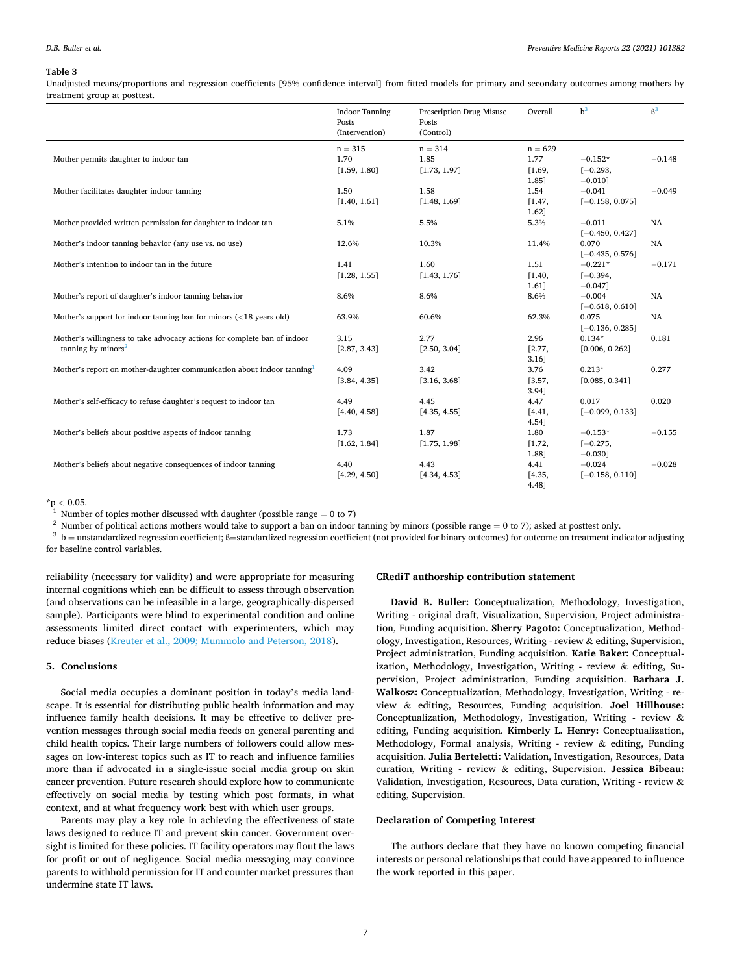#### <span id="page-8-0"></span>**Table 3**

Unadjusted means/proportions and regression coefficients [95% confidence interval] from fitted models for primary and secondary outcomes among mothers by treatment group at posttest.

|                                                                                     | <b>Indoor Tanning</b><br>Posts<br>(Intervention) | Prescription Drug Misuse<br>Posts<br>(Control) | Overall   | $h^3$             | $\beta^3$ |
|-------------------------------------------------------------------------------------|--------------------------------------------------|------------------------------------------------|-----------|-------------------|-----------|
|                                                                                     | $n = 315$                                        | $n = 314$                                      | $n = 629$ |                   |           |
| Mother permits daughter to indoor tan                                               | 1.70                                             | 1.85                                           | 1.77      | $-0.152*$         | $-0.148$  |
|                                                                                     | [1.59, 1.80]                                     | [1.73, 1.97]                                   | [1.69,    | $[-0.293,$        |           |
|                                                                                     |                                                  |                                                | 1.85]     | $-0.010$ ]        |           |
| Mother facilitates daughter indoor tanning                                          | 1.50                                             | 1.58                                           | 1.54      | $-0.041$          | $-0.049$  |
|                                                                                     | [1.40, 1.61]                                     | [1.48, 1.69]                                   | [1.47,    | $[-0.158, 0.075]$ |           |
|                                                                                     |                                                  |                                                | 1.62]     |                   |           |
| Mother provided written permission for daughter to indoor tan                       | 5.1%                                             | 5.5%                                           | 5.3%      | $-0.011$          | NA        |
|                                                                                     |                                                  |                                                |           | $[-0.450, 0.427]$ |           |
| Mother's indoor tanning behavior (any use vs. no use)                               | 12.6%                                            | 10.3%                                          | 11.4%     | 0.070             | NA        |
|                                                                                     |                                                  |                                                |           | $[-0.435, 0.576]$ |           |
| Mother's intention to indoor tan in the future                                      | 1.41                                             | 1.60                                           | 1.51      | $-0.221*$         | $-0.171$  |
|                                                                                     | [1.28, 1.55]                                     | [1.43, 1.76]                                   | [1.40,    | $[-0.394,$        |           |
|                                                                                     |                                                  |                                                | 1.61]     | $-0.047$ ]        |           |
| Mother's report of daughter's indoor tanning behavior                               | 8.6%                                             | 8.6%                                           | 8.6%      | $-0.004$          | NA        |
|                                                                                     |                                                  |                                                |           | $[-0.618, 0.610]$ |           |
| Mother's support for indoor tanning ban for minors $\left( < 18 \right)$ years old) | 63.9%                                            | 60.6%                                          | 62.3%     | 0.075             | NA        |
|                                                                                     |                                                  |                                                |           | $[-0.136, 0.285]$ |           |
| Mother's willingness to take advocacy actions for complete ban of indoor            | 3.15                                             | 2.77                                           | 2.96      | $0.134*$          | 0.181     |
| tanning by minors $2$                                                               | [2.87, 3.43]                                     | [2.50, 3.04]                                   | [2.77,    | [0.006, 0.262]    |           |
|                                                                                     |                                                  |                                                | 3.16]     |                   |           |
| Mother's report on mother-daughter communication about indoor tanning               | 4.09                                             | 3.42                                           | 3.76      | $0.213*$          | 0.277     |
|                                                                                     | [3.84, 4.35]                                     | [3.16, 3.68]                                   | [3.57,    | [0.085, 0.341]    |           |
|                                                                                     |                                                  |                                                | 3.94]     |                   |           |
| Mother's self-efficacy to refuse daughter's request to indoor tan                   | 4.49                                             | 4.45                                           | 4.47      | 0.017             | 0.020     |
|                                                                                     | [4.40, 4.58]                                     | [4.35, 4.55]                                   | [4.41,    | $[-0.099, 0.133]$ |           |
|                                                                                     |                                                  |                                                | 4.54]     |                   |           |
| Mother's beliefs about positive aspects of indoor tanning                           | 1.73                                             | 1.87                                           | 1.80      | $-0.153*$         | $-0.155$  |
|                                                                                     | [1.62, 1.84]                                     | [1.75, 1.98]                                   | [1.72,    | $[-0.275,$        |           |
|                                                                                     |                                                  |                                                | 1.88]     | $-0.030$ ]        |           |
| Mother's beliefs about negative consequences of indoor tanning                      | 4.40                                             | 4.43                                           | 4.41      | $-0.024$          | $-0.028$  |
|                                                                                     | [4.29, 4.50]                                     | [4.34, 4.53]                                   | [4.35,    | $[-0.158, 0.110]$ |           |
|                                                                                     |                                                  |                                                | 4.481     |                   |           |

\*p < 0.05.<br><sup>1</sup> Number of topics mother discussed with daughter (possible range = 0 to 7)<br><sup>2</sup> Number of political actions mothers would take to support a ban on indoor tanning by minors (possible range = 0 to 7); asked at for baseline control variables.

reliability (necessary for validity) and were appropriate for measuring internal cognitions which can be difficult to assess through observation (and observations can be infeasible in a large, geographically-dispersed sample). Participants were blind to experimental condition and online assessments limited direct contact with experimenters, which may reduce biases [\(Kreuter et al., 2009; Mummolo and Peterson, 2018\)](#page-10-0).

#### **5. Conclusions**

Social media occupies a dominant position in today's media landscape. It is essential for distributing public health information and may influence family health decisions. It may be effective to deliver prevention messages through social media feeds on general parenting and child health topics. Their large numbers of followers could allow messages on low-interest topics such as IT to reach and influence families more than if advocated in a single-issue social media group on skin cancer prevention. Future research should explore how to communicate effectively on social media by testing which post formats, in what context, and at what frequency work best with which user groups.

Parents may play a key role in achieving the effectiveness of state laws designed to reduce IT and prevent skin cancer. Government oversight is limited for these policies. IT facility operators may flout the laws for profit or out of negligence. Social media messaging may convince parents to withhold permission for IT and counter market pressures than undermine state IT laws.

#### **CRediT authorship contribution statement**

**David B. Buller:** Conceptualization, Methodology, Investigation, Writing - original draft, Visualization, Supervision, Project administration, Funding acquisition. **Sherry Pagoto:** Conceptualization, Methodology, Investigation, Resources, Writing - review & editing, Supervision, Project administration, Funding acquisition. **Katie Baker:** Conceptualization, Methodology, Investigation, Writing - review & editing, Supervision, Project administration, Funding acquisition. **Barbara J. Walkosz:** Conceptualization, Methodology, Investigation, Writing - review & editing, Resources, Funding acquisition. **Joel Hillhouse:**  Conceptualization, Methodology, Investigation, Writing - review & editing, Funding acquisition. **Kimberly L. Henry:** Conceptualization, Methodology, Formal analysis, Writing - review  $\&$  editing, Funding acquisition. **Julia Berteletti:** Validation, Investigation, Resources, Data curation, Writing - review & editing, Supervision. **Jessica Bibeau:**  Validation, Investigation, Resources, Data curation, Writing - review & editing, Supervision.

#### **Declaration of Competing Interest**

The authors declare that they have no known competing financial interests or personal relationships that could have appeared to influence the work reported in this paper.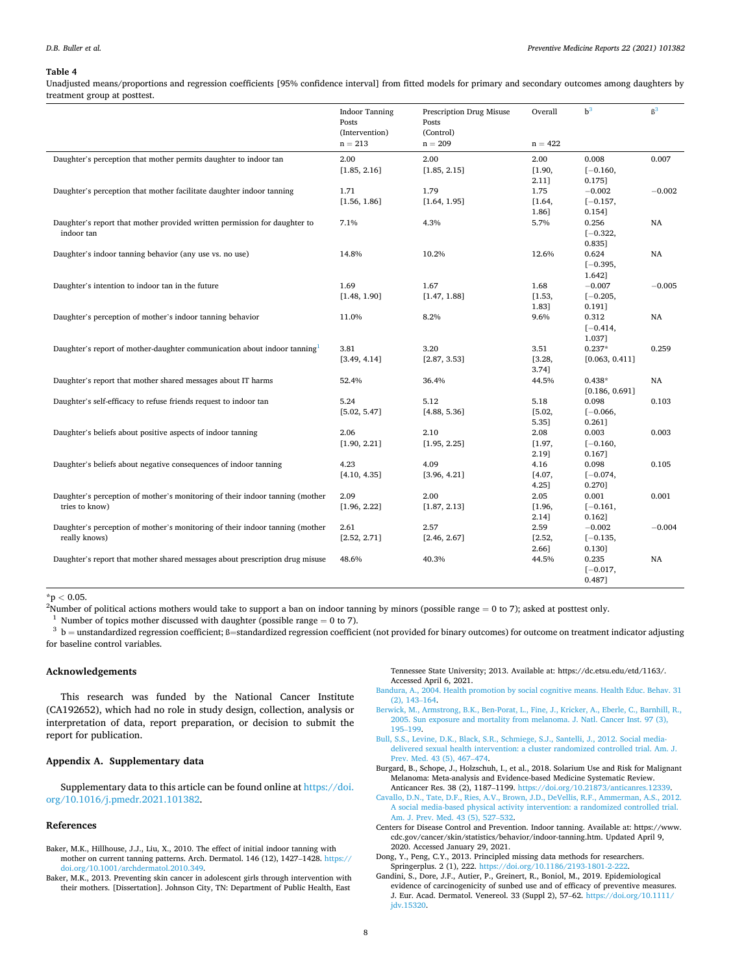#### <span id="page-9-0"></span>**Table 4**

Unadjusted means/proportions and regression coefficients [95% confidence interval] from fitted models for primary and secondary outcomes among daughters by treatment group at posttest.

|                                                                              | <b>Indoor Tanning</b><br>Posts<br>(Intervention)<br>$n = 213$ | Prescription Drug Misuse<br>Posts<br>(Control)<br>$n = 209$ | Overall<br>$n = 422$ | $b^3$          | $\beta^3$ |
|------------------------------------------------------------------------------|---------------------------------------------------------------|-------------------------------------------------------------|----------------------|----------------|-----------|
| Daughter's perception that mother permits daughter to indoor tan             | 2.00                                                          | 2.00                                                        | 2.00                 | 0.008          | 0.007     |
|                                                                              | [1.85, 2.16]                                                  | [1.85, 2.15]                                                | [1.90,               | $[-0.160,$     |           |
|                                                                              |                                                               |                                                             | $2.11$ ]             | 0.175]         |           |
| Daughter's perception that mother facilitate daughter indoor tanning         | 1.71                                                          | 1.79                                                        | 1.75                 | $-0.002$       | $-0.002$  |
|                                                                              | [1.56, 1.86]                                                  | [1.64, 1.95]                                                | [1.64,               | $[-0.157,$     |           |
|                                                                              |                                                               |                                                             | 1.86]                | 0.154]         |           |
| Daughter's report that mother provided written permission for daughter to    | 7.1%                                                          | 4.3%                                                        | 5.7%                 | 0.256          | NA        |
| indoor tan                                                                   |                                                               |                                                             |                      | $[-0.322,$     |           |
|                                                                              |                                                               |                                                             |                      | 0.835]         |           |
| Daughter's indoor tanning behavior (any use vs. no use)                      | 14.8%                                                         | 10.2%                                                       | 12.6%                | 0.624          | <b>NA</b> |
|                                                                              |                                                               |                                                             |                      | $[-0.395,$     |           |
|                                                                              |                                                               |                                                             |                      | 1.642]         |           |
| Daughter's intention to indoor tan in the future                             | 1.69                                                          | 1.67                                                        | 1.68                 | $-0.007$       | $-0.005$  |
|                                                                              | [1.48, 1.90]                                                  | [1.47, 1.88]                                                | [1.53,               | $[-0.205,$     |           |
|                                                                              |                                                               |                                                             | 1.83]                | 0.191]         |           |
| Daughter's perception of mother's indoor tanning behavior                    | 11.0%                                                         | 8.2%                                                        | 9.6%                 | 0.312          | NA        |
|                                                                              |                                                               |                                                             |                      | $[-0.414,$     |           |
|                                                                              |                                                               |                                                             |                      | 1.0371         |           |
| Daughter's report of mother-daughter communication about indoor tanning      | 3.81                                                          | 3.20                                                        | 3.51                 | $0.237*$       | 0.259     |
|                                                                              | [3.49, 4.14]                                                  | [2.87, 3.53]                                                | [3.28,               | [0.063, 0.411] |           |
|                                                                              |                                                               |                                                             | 3.741                |                |           |
| Daughter's report that mother shared messages about IT harms                 | 52.4%                                                         | 36.4%                                                       | 44.5%                | $0.438*$       | NA        |
|                                                                              |                                                               |                                                             |                      | [0.186, 0.691] |           |
| Daughter's self-efficacy to refuse friends request to indoor tan             | 5.24                                                          | 5.12                                                        | 5.18                 | 0.098          | 0.103     |
|                                                                              | [5.02, 5.47]                                                  | [4.88, 5.36]                                                | [5.02,               | $[-0.066,$     |           |
|                                                                              |                                                               |                                                             | 5.35]                | 0.261]         |           |
| Daughter's beliefs about positive aspects of indoor tanning                  | 2.06                                                          | 2.10                                                        | 2.08                 | 0.003          | 0.003     |
|                                                                              | [1.90, 2.21]                                                  | [1.95, 2.25]                                                | [1.97,               | $[-0.160,$     |           |
|                                                                              |                                                               |                                                             | 2.19]                | 0.167]         |           |
| Daughter's beliefs about negative consequences of indoor tanning             | 4.23                                                          | 4.09                                                        | 4.16                 | 0.098          | 0.105     |
|                                                                              | [4.10, 4.35]                                                  | [3.96, 4.21]                                                | [4.07,               | $[-0.074,$     |           |
|                                                                              |                                                               |                                                             | $4.25$ ]             | 0.270]         |           |
| Daughter's perception of mother's monitoring of their indoor tanning (mother | 2.09                                                          | 2.00                                                        | 2.05                 | 0.001          | 0.001     |
| tries to know)                                                               | [1.96, 2.22]                                                  | [1.87, 2.13]                                                | [1.96,               | $[-0.161,$     |           |
|                                                                              |                                                               |                                                             | 2.14]                | 0.162]         |           |
| Daughter's perception of mother's monitoring of their indoor tanning (mother | 2.61                                                          | 2.57                                                        | 2.59                 | $-0.002$       | $-0.004$  |
| really knows)                                                                | [2.52, 2.71]                                                  | [2.46, 2.67]                                                | [2.52,               | $[-0.135,$     |           |
|                                                                              |                                                               |                                                             | 2.66]                | 0.130]         |           |
| Daughter's report that mother shared messages about prescription drug misuse | 48.6%                                                         | 40.3%                                                       | 44.5%                | 0.235          | NA        |
|                                                                              |                                                               |                                                             |                      | $[-0.017,$     |           |
|                                                                              |                                                               |                                                             |                      | 0.487]         |           |

\*p *<sup>&</sup>lt;* 0.05. 2

<sup>1</sup> Number of topics mother discussed with daughter (possible range = 0 to 7).<br><sup>3</sup> b = unstandardized regression coefficient; ß=standardized regression coefficient (not provided for binary outcomes) for outcome on treatme for baseline control variables.

#### **Acknowledgements**

This research was funded by the National Cancer Institute (CA192652), which had no role in study design, collection, analysis or interpretation of data, report preparation, or decision to submit the report for publication.

#### **Appendix A. Supplementary data**

Supplementary data to this article can be found online at [https://doi.](https://doi.org/10.1016/j.pmedr.2021.101382)  [org/10.1016/j.pmedr.2021.101382.](https://doi.org/10.1016/j.pmedr.2021.101382)

#### **References**

- Baker, M.K., Hillhouse, J.J., Liu, X., 2010. The effect of initial indoor tanning with mother on current tanning patterns. Arch. Dermatol. 146 (12), 1427–1428. [https://](https://doi.org/10.1001/archdermatol.2010.349)  [doi.org/10.1001/archdermatol.2010.349.](https://doi.org/10.1001/archdermatol.2010.349)
- Baker, M.K., 2013. Preventing skin cancer in adolescent girls through intervention with their mothers. [Dissertation]. Johnson City, TN: Department of Public Health, East

Tennessee State University; 2013. Available at: https://dc.etsu.edu/etd/1163/. Accessed April 6, 2021.

- [Bandura, A., 2004. Health promotion by social cognitive means. Health Educ. Behav. 31](http://refhub.elsevier.com/S2211-3355(21)00072-3/h0015)  [\(2\), 143](http://refhub.elsevier.com/S2211-3355(21)00072-3/h0015)–164.
- [Berwick, M., Armstrong, B.K., Ben-Porat, L., Fine, J., Kricker, A., Eberle, C., Barnhill, R.,](http://refhub.elsevier.com/S2211-3355(21)00072-3/h0020)  [2005. Sun exposure and mortality from melanoma. J. Natl. Cancer Inst. 97 \(3\),](http://refhub.elsevier.com/S2211-3355(21)00072-3/h0020)  195–[199](http://refhub.elsevier.com/S2211-3355(21)00072-3/h0020).
- [Bull, S.S., Levine, D.K., Black, S.R., Schmiege, S.J., Santelli, J., 2012. Social media](http://refhub.elsevier.com/S2211-3355(21)00072-3/h0025)[delivered sexual health intervention: a cluster randomized controlled trial. Am. J.](http://refhub.elsevier.com/S2211-3355(21)00072-3/h0025)  [Prev. Med. 43 \(5\), 467](http://refhub.elsevier.com/S2211-3355(21)00072-3/h0025)–474.
- Burgard, B., Schope, J., Holzschuh, I., et al., 2018. Solarium Use and Risk for Malignant Melanoma: Meta-analysis and Evidence-based Medicine Systematic Review.
- Anticancer Res. 38 (2), 1187–1199. <https://doi.org/10.21873/anticanres.12339>. [Cavallo, D.N., Tate, D.F., Ries, A.V., Brown, J.D., DeVellis, R.F., Ammerman, A.S., 2012.](http://refhub.elsevier.com/S2211-3355(21)00072-3/h0035)  [A social media-based physical activity intervention: a randomized controlled trial.](http://refhub.elsevier.com/S2211-3355(21)00072-3/h0035) [Am. J. Prev. Med. 43 \(5\), 527](http://refhub.elsevier.com/S2211-3355(21)00072-3/h0035)–532.
- Centers for Disease Control and Prevention. Indoor tanning. Available at: https://www. cdc.gov/cancer/skin/statistics/behavior/indoor-tanning.htm. Updated April 9, 2020. Accessed January 29, 2021.
- Dong, Y., Peng, C.Y., 2013. Principled missing data methods for researchers. Springerplus. 2 (1), 222. [https://doi.org/10.1186/2193-1801-2-222.](https://doi.org/10.1186/2193-1801-2-222)
- Gandini, S., Dore, J.F., Autier, P., Greinert, R., Boniol, M., 2019. Epidemiological evidence of carcinogenicity of sunbed use and of efficacy of preventive measures. J. Eur. Acad. Dermatol. Venereol. 33 (Suppl 2), 57–62. [https://doi.org/10.1111/](https://doi.org/10.1111/jdv.15320) [jdv.15320](https://doi.org/10.1111/jdv.15320).